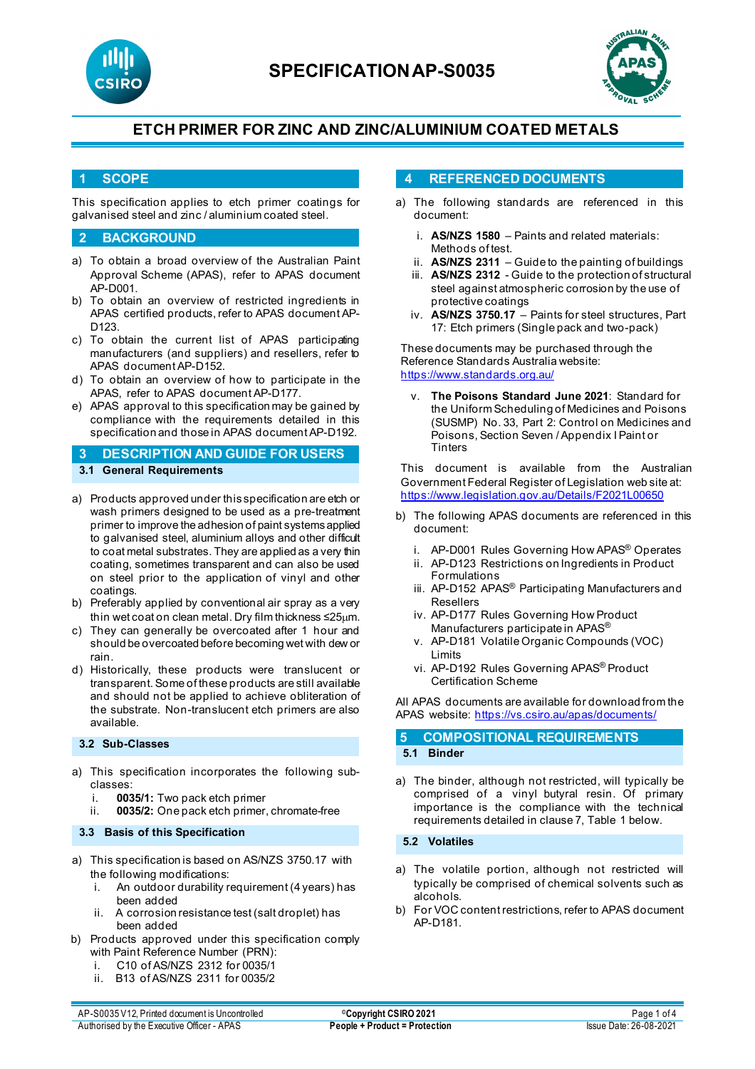



## **1 SCOPE**

This specification applies to etch primer coatings for galvanised steel and zinc / aluminium coated steel.

### **2 BACKGROUND**

- a) To obtain a broad overview of the Australian Paint Approval Scheme (APAS), refer to APAS document AP-D001.
- b) To obtain an overview of restricted ingredients in APAS certified products, refer to APAS document AP-D123.
- c) To obtain the current list of APAS participating manufacturers (and suppliers) and resellers, refer to APAS document AP-D152.
- d) To obtain an overview of how to participate in the APAS, refer to APAS document AP-D177.
- e) APAS approval to this specification may be gained by compliance with the requirements detailed in this specification and those in APAS document AP-D192.

**3 DESCRIPTION AND GUIDE FOR USERS 3.1 General Requirements**

- a) Products approved under this specification are etch or wash primers designed to be used as a pre-treatment primer to improve the adhesion of paint systems applied to galvanised steel, aluminium alloys and other difficult to coat metal substrates. They are applied as a very thin coating, sometimes transparent and can also be used on steel prior to the application of vinyl and other coatings.
- b) Preferably applied by conventional air spray as a very thin wet coat on clean metal. Dry film thickness ≤25µm.
- c) They can generally be overcoated after 1 hour and should be overcoated before becoming wet with dew or rain.
- d) Historically, these products were translucent or transparent. Some of these products are still available and should not be applied to achieve obliteration of the substrate. Non-translucent etch primers are also available.

#### **3.2 Sub-Classes**

- a) This specification incorporates the following subclasses:
	- i. **0035/1:** Two pack etch primer
	- ii. **0035/2:** One pack etch primer, chromate-free

#### **3.3 Basis of this Specification**

- a) This specification is based on AS/NZS 3750.17 with the following modifications:
	- i. An outdoor durability requirement (4 years) has been added
	- ii. A corrosion resistance test (salt droplet) has been added
- b) Products approved under this specification comply with Paint Reference Number (PRN):
	- C10 of AS/NZS 2312 for 0035/1
	- ii. B13 of AS/NZS 2311 for 0035/2

### **4 REFERENCED DOCUMENTS**

- a) The following standards are referenced in this document:
	- i. **AS/NZS 1580** Paints and related materials: Methods of test.
	- ii. **AS/NZS 2311** Guide to the painting of buildings
	- iii. **AS/NZS 2312** Guide to the protection of structural steel against atmospheric corrosion by the use of protective coatings
	- iv. **AS/NZS 3750.17** Paints for steel structures, Part 17: Etch primers (Single pack and two-pack)

These documents may be purchased through the Reference Standards Australia website: <https://www.standards.org.au/>

**The Poisons Standard June 2021: Standard for** the Uniform Scheduling of Medicines and Poisons (SUSMP) No. 33, Part 2: Control on Medicines and Poisons, Section Seven / Appendix I Paint or **Tinters** 

This document is available from the Australian Government Federal Register of Legislation web site at: <https://www.legislation.gov.au/Details/F2021L00650>

- b) The following APAS documents are referenced in this document:
	- i. AP-D001 Rules Governing How APAS® Operates
	- ii. AP-D123 Restrictions on Ingredients in Product Formulations
	- iii. AP-D152 APAS<sup>®</sup> Participating Manufacturers and Resellers
	- iv. AP-D177 Rules Governing How Product Manufacturers participate in APAS®
	- v. AP-D181 Volatile Organic Compounds (VOC) Limits
	- vi. AP-D192 Rules Governing APAS® Product Certification Scheme

All APAS documents are available for download from the APAS website: <https://vs.csiro.au/apas/documents/>

### **5 COMPOSITIONAL REQUIREMENTS 5.1 Binder**

a) The binder, although not restricted, will typically be comprised of a vinyl butyral resin. Of primary importance is the compliance with the technical requirements detailed in clause 7, Table 1 below.

**5.2 Volatiles**

- a) The volatile portion, although not restricted will typically be comprised of chemical solvents such as alcohols.
- b) For VOC content restrictions, refer to APAS document AP-D181.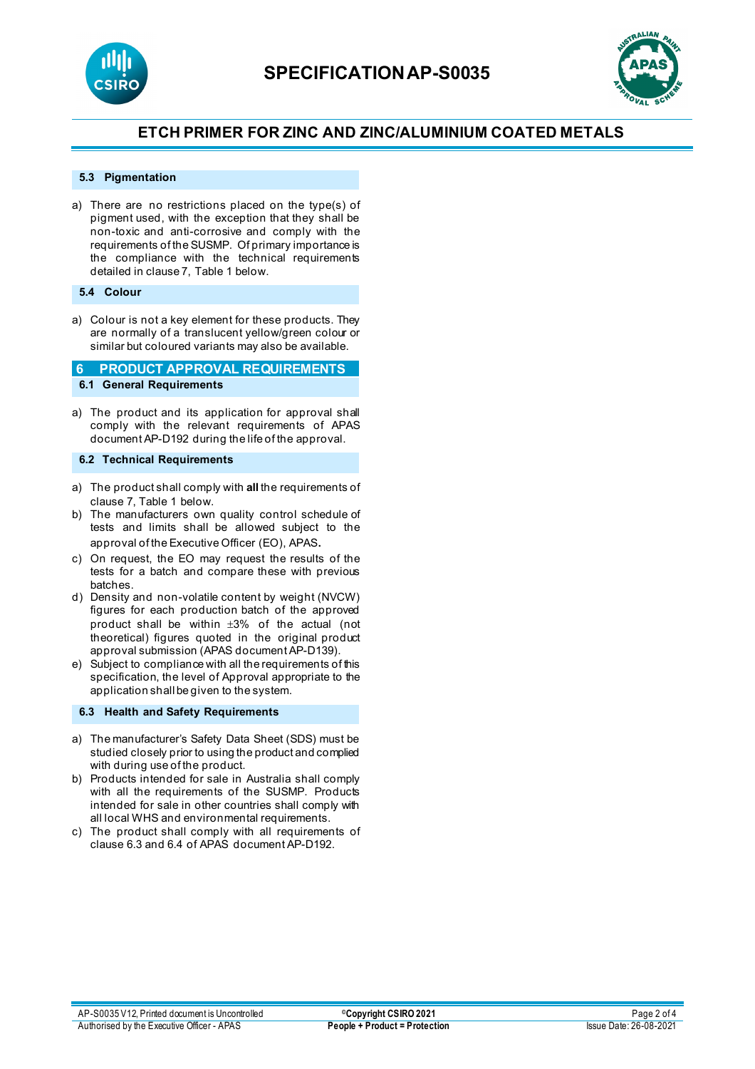



#### **5.3 Pigmentation**

a) There are no restrictions placed on the type(s) of pigment used, with the exception that they shall be non-toxic and anti-corrosive and comply with the requirements of the SUSMP. Of primary importance is the compliance with the technical requirements detailed in clause 7, Table 1 below.

### **5.4 Colour**

a) Colour is not a key element for these products. They are normally of a translucent yellow/green colour or similar but coloured variants may also be available.

### **6 PRODUCT APPROVAL REQUIREMENTS 6.1 General Requirements**

a) The product and its application for approval shall comply with the relevant requirements of APAS document AP-D192 during the life of the approval.

### **6.2 Technical Requirements**

- a) The product shall comply with **all** the requirements of clause 7, Table 1 below.
- b) The manufacturers own quality control schedule of tests and limits shall be allowed subject to the approval of the Executive Officer (EO), APAS.
- c) On request, the EO may request the results of the tests for a batch and compare these with previous batches.
- d) Density and non-volatile content by weight (NVCW) figures for each production batch of the approved product shall be within ±3% of the actual (not theoretical) figures quoted in the original product approval submission (APAS document AP-D139).
- e) Subject to compliance with all the requirements of this specification, the level of Approval appropriate to the application shall be given to the system.

#### **6.3 Health and Safety Requirements**

- a) The manufacturer's Safety Data Sheet (SDS) must be studied closely prior to using the product and complied with during use of the product.
- b) Products intended for sale in Australia shall comply with all the requirements of the SUSMP. Products intended for sale in other countries shall comply with all local WHS and environmental requirements.
- c) The product shall comply with all requirements of clause 6.3 and 6.4 of APAS document AP-D192.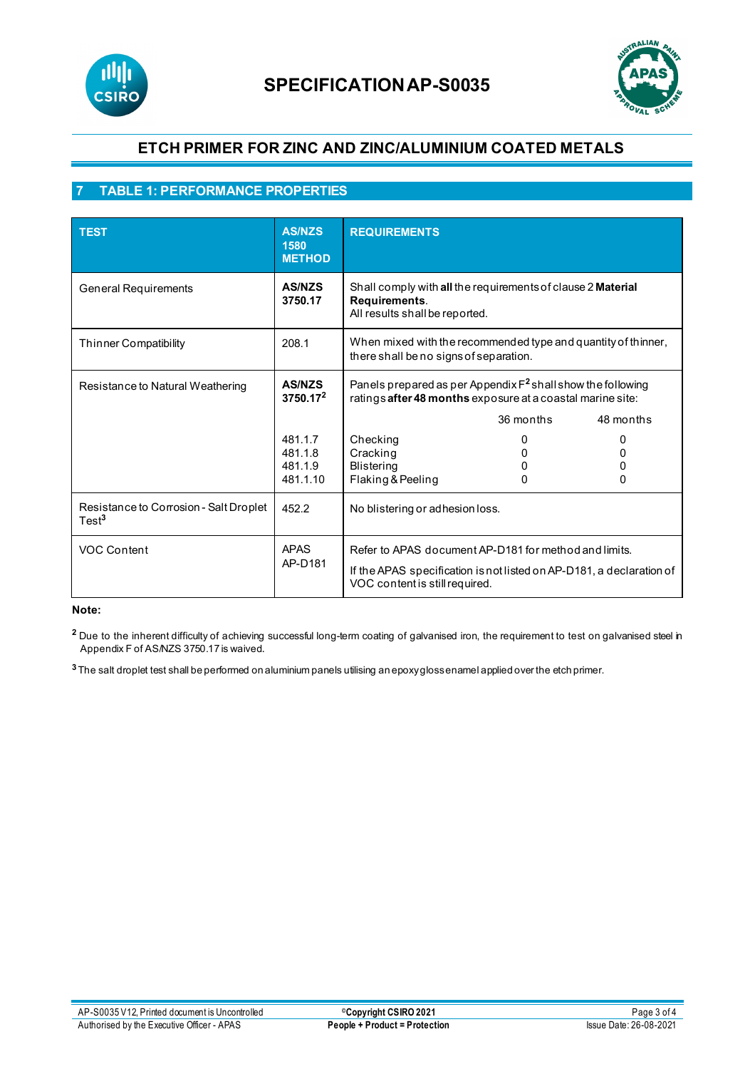



## **7 TABLE 1: PERFORMANCE PROPERTIES**

| <b>TEST</b>                                                 | <b>AS/NZS</b><br>1580<br><b>METHOD</b>    | <b>REQUIREMENTS</b>                                                                                                                                             |           |                        |
|-------------------------------------------------------------|-------------------------------------------|-----------------------------------------------------------------------------------------------------------------------------------------------------------------|-----------|------------------------|
| <b>General Requirements</b>                                 | <b>AS/NZS</b><br>3750.17                  | Shall comply with all the requirements of clause 2 Material<br>Requirements.<br>All results shall be reported.                                                  |           |                        |
| Thinner Compatibility                                       | 208.1                                     | When mixed with the recommended type and quantity of thinner,<br>there shall be no signs of separation.                                                         |           |                        |
| Resistance to Natural Weathering                            | <b>AS/NZS</b><br>$3750.17^2$              | Panels prepared as per Appendix $F^2$ shall show the following<br>ratings after 48 months exposure at a coastal marine site:                                    |           |                        |
|                                                             |                                           |                                                                                                                                                                 | 36 months | 48 months              |
|                                                             | 481.1.7<br>481.1.8<br>481.1.9<br>481.1.10 | Checking<br>Cracking<br>Blistering<br>Flaking & Peeling                                                                                                         | 0         | O<br>$\mathbf{r}$<br>0 |
| Resistance to Corrosion - Salt Droplet<br>Test <sup>3</sup> | 452.2                                     | No blistering or adhesion loss.                                                                                                                                 |           |                        |
| <b>VOC Content</b>                                          | <b>APAS</b><br>AP-D181                    | Refer to APAS document AP-D181 for method and limits.<br>If the APAS specification is not listed on AP-D181, a declaration of<br>VOC content is still required. |           |                        |

#### **Note:**

<sup>2</sup> Due to the inherent difficulty of achieving successful long-term coating of galvanised iron, the requirement to test on galvanised steel in Appendix F of AS/NZS 3750.17 is waived.

**<sup>3</sup>** The salt droplet test shall be performed on aluminium panels utilising an epoxy gloss enamel applied over the etch primer.